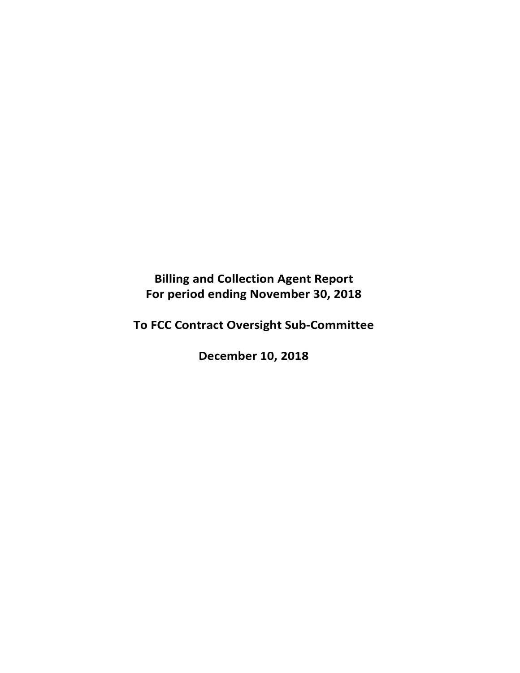**Billing and Collection Agent Report For period ending November 30, 2018** 

**To FCC Contract Oversight Sub‐Committee** 

**December 10, 2018**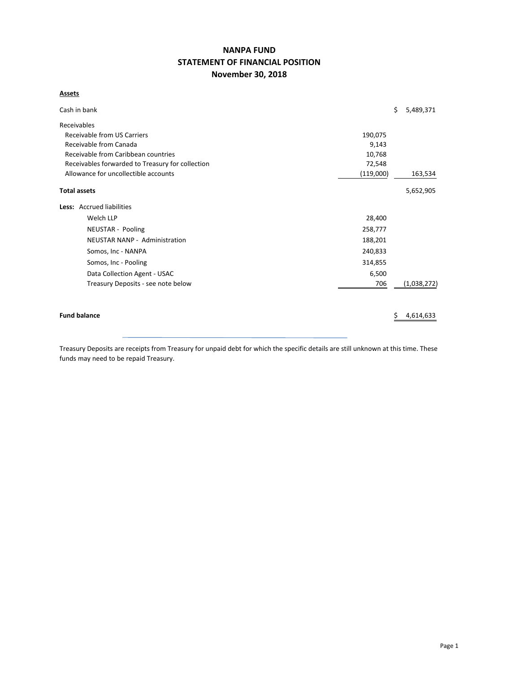# **NANPA FUND STATEMENT OF FINANCIAL POSITION November 30, 2018**

### **Assets**

| Cash in bank                                      |         | \$ | 5,489,371   |  |  |  |  |  |
|---------------------------------------------------|---------|----|-------------|--|--|--|--|--|
| Receivables                                       |         |    |             |  |  |  |  |  |
| Receivable from US Carriers                       | 190,075 |    |             |  |  |  |  |  |
| Receivable from Canada                            | 9,143   |    |             |  |  |  |  |  |
| Receivable from Caribbean countries               | 10,768  |    |             |  |  |  |  |  |
| Receivables forwarded to Treasury for collection  | 72,548  |    |             |  |  |  |  |  |
| Allowance for uncollectible accounts<br>(119,000) |         |    |             |  |  |  |  |  |
| <b>Total assets</b>                               |         |    | 5,652,905   |  |  |  |  |  |
| Less: Accrued liabilities                         |         |    |             |  |  |  |  |  |
| Welch LLP                                         | 28,400  |    |             |  |  |  |  |  |
| NEUSTAR - Pooling                                 | 258,777 |    |             |  |  |  |  |  |
| <b>NEUSTAR NANP - Administration</b>              | 188,201 |    |             |  |  |  |  |  |
| Somos, Inc - NANPA                                | 240,833 |    |             |  |  |  |  |  |
| Somos, Inc - Pooling                              | 314,855 |    |             |  |  |  |  |  |
| Data Collection Agent - USAC                      | 6,500   |    |             |  |  |  |  |  |
| Treasury Deposits - see note below                | 706     |    | (1,038,272) |  |  |  |  |  |
|                                                   |         |    |             |  |  |  |  |  |
| <b>Fund balance</b>                               |         |    | 4,614,633   |  |  |  |  |  |

Treasury Deposits are receipts from Treasury for unpaid debt for which the specific details are still unknown at this time. These funds may need to be repaid Treasury.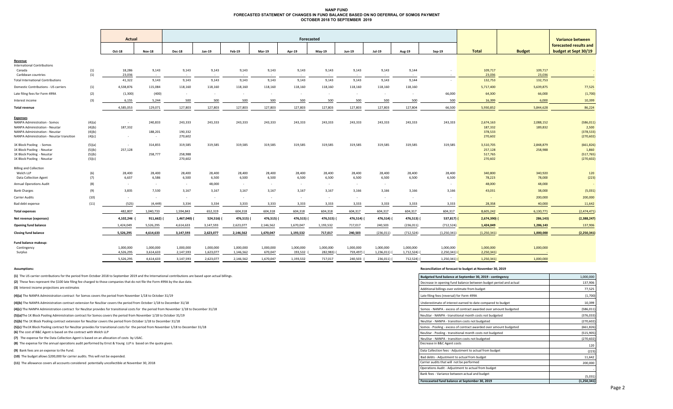### **NANP FUND FORECASTED STATEMENT OF CHANGES IN FUND BALANCE BASED ON NO DEFERRAL OF SOMOS PAYMENT OCTOBER 2018 TO SEPTEMBER 2019**

|                                           |            | Actual           |                         | Forecasted      |                 |                 |                 |                 |                     |                 |                 |                 |               | Variance between  |                   |                        |
|-------------------------------------------|------------|------------------|-------------------------|-----------------|-----------------|-----------------|-----------------|-----------------|---------------------|-----------------|-----------------|-----------------|---------------|-------------------|-------------------|------------------------|
|                                           |            |                  |                         |                 |                 |                 |                 |                 |                     |                 |                 |                 |               |                   |                   | forecasted results and |
|                                           |            | Oct-18           | <b>Nov-18</b>           | <b>Dec-18</b>   | Jan-19          | Feb-19          | <b>Mar-19</b>   | Apr-19          | May-19              | Jun-19          | <b>Jul-19</b>   | Aug-19          | $Sep-19$      | <b>Total</b>      | <b>Budget</b>     | budget at Sept 30/19   |
| Revenue                                   |            |                  |                         |                 |                 |                 |                 |                 |                     |                 |                 |                 |               |                   |                   |                        |
| <b>International Contributions</b>        |            |                  |                         |                 |                 |                 |                 |                 |                     |                 |                 |                 |               |                   |                   |                        |
| Canada<br>Caribbean countries             | (1)<br>(1) | 18,286<br>23,036 | 9,143<br>$\sim 10^{-1}$ | 9,143<br>$\sim$ | 9,143<br>$\sim$ | 9,143<br>$\sim$ | 9,143<br>$\sim$ | 9,143<br>$\sim$ | 9,143<br>$\sim$ $-$ | 9,143<br>$\sim$ | 9,143<br>$\sim$ | 9,144<br>$\sim$ |               | 109,717<br>23,036 | 109,717<br>23,036 | $\sim$                 |
| <b>Total International Contributions</b>  |            | 41,322           | 9,143                   | 9,143           | 9,143           | 9,143           | 9,143           | 9,143           | 9,143               | 9,143           | 9,143           | 9,144           | $\sim$        | 132,753           | 132,753           | $\sim$                 |
| Domestic Contributions - US carriers      | (1)        | 4,538,876        | 115,084                 | 118,160         | 118,160         | 118,160         | 118,160         | 118,160         | 118,160             | 118,160         | 118,160         | 118,160         |               | 5,717,400         | 5,639,875         | 77,525                 |
| Late filing fees for Form 499A            | (2)        | (1, 300)         | (400)                   | $\sim$          | $\sim$          | $\sim$          | $\sim$          | $\sim$          | $\sim$              | $\sim$          | $\sim$          | $\sim$          | 66,000        | 64,300            | 66,000            | (1,700)                |
|                                           |            | 6,155            | 5,244                   |                 | 500             | 500             |                 | 500             |                     |                 | 500             | 500             | 500           | 16,399            | 6,000             | 10,399                 |
| Interest income                           | (3)        |                  |                         | 500             |                 |                 | 500             |                 | 500                 | 500             |                 |                 |               |                   |                   |                        |
| <b>Total revenue</b>                      |            | 4,585,053        | 129,071                 | 127,803         | 127,803         | 127,803         | 127,803         | 127,803         | 127,803             | 127,803         | 127,803         | 127,804         | 66,500        | 5,930,852         | 5,844,628         | 86,224                 |
| <b>Expenses</b>                           |            |                  |                         |                 |                 |                 |                 |                 |                     |                 |                 |                 |               |                   |                   |                        |
| <b>NANPA Administration - Somos</b>       | (4)(a)     | $\sim$           | 240,833                 | 243,333         | 243,333         | 243,333         | 243,333         | 243,333         | 243,333             | 243,333         | 243,333         | 243,333         | 243,333       | 2,674,163         | 2,088,152         | (586, 011)             |
| <b>NANPA Administration - Neustar</b>     | (4)(b)     | 187,332          |                         |                 |                 |                 |                 |                 |                     |                 |                 |                 |               | 187,332           | 189,832           | 2,500                  |
| <b>NANPA Administration - Neustar</b>     | (4)(b)     |                  | 188,201                 | 190,332         |                 |                 |                 |                 |                     |                 |                 |                 |               | 378,533           |                   | (378, 533)             |
| NANPA Administration - Neustar transition | (4)(c)     | $\sim$           | $\sim$                  | 270,602         |                 |                 |                 |                 |                     |                 |                 |                 |               | 270,602           |                   | (270, 602)             |
| 1K Block Pooling - Somos                  | (5)(a)     | $\sim$           | 314,855                 | 319,585         | 319,585         | 319,585         | 319,585         | 319,585         | 319,585             | 319,585         | 319,585         | 319,585         | 319,585       | 3,510,705         | 2,848,879         | (661, 826)             |
| 1K Block Pooling - Neustar                | (5)(b)     | 257,128          |                         |                 |                 |                 |                 |                 |                     |                 |                 |                 |               | 257,128           | 258,988           | 1,860                  |
| 1K Block Pooling - Neustar                | (5)(b)     |                  | 258,777                 | 258,988         |                 |                 |                 |                 |                     |                 |                 |                 |               | 517,765           |                   | (517, 765)             |
| 1K Block Pooling - Neustar                | (5)(c)     |                  |                         | 270,602         |                 |                 |                 |                 |                     |                 |                 |                 |               | 270,602           |                   | (270, 602)             |
| <b>Billing and Collection</b>             |            |                  |                         |                 |                 |                 |                 |                 |                     |                 |                 |                 |               |                   |                   |                        |
| Welch LLP                                 | (6)        | 28,400           | 28,400                  | 28,400          | 28,400          | 28,400          | 28,400          | 28,400          | 28,400              | 28,400          | 28,400          | 28,400          | 28,400        | 340,800           | 340,920           | 120                    |
| <b>Data Collection Agent</b>              | (7)        | 6,637            | 6,586                   | 6,500           | 6,500           | 6,500           | 6,500           | 6,500           | 6,500               | 6,500           | 6,500           | 6,500           | 6,500         | 78,223            | 78,000            | (223)                  |
| <b>Annual Operations Audit</b>            | (8)        | $\sim$           | $\sim$                  | $\sim$          | 48,000          | $\sim$          | $\sim$          | $\sim$          | $\sim$              | $\sim$          | $\sim$          |                 |               | 48,000            | 48,000            |                        |
| <b>Bank Charges</b>                       | (9)        | 3,835            | 7,530                   | 3,167           | 3,167           | 3,167           | 3,167           | 3,167           | 3,167               | 3,166           | 3,166           | 3,166           | 3,166         | 43,031            | 38,000            | (5,031)                |
| Carrier Audits                            | (10)       | $\sim$           | $\sim$                  | $\sim$          | $\sim$          | $\sim$          | $\sim$          | $\sim$          | $\sim$              | $\sim$          | $\sim$          |                 |               |                   | 200,000           | 200,000                |
| Bad debt expense                          | (11)       | (525)            | (4, 449)                | 3,334           | 3,334           | 3,333           | 3,333           | 3,333           | 3,333               | 3,333           | 3,333           | 3,333           | 3,333         | 28,358            | 40,000            | 11,642                 |
| <b>Total expenses</b>                     |            | 482,807          | 1,040,733               | 1,594,843       | 652,319         | 604,318         | 604,318         | 604,318         | 604,318             | 604,317         | 604,317         | 604,317         | 604,317       | 8,605,242         | 6,130,771         | (2,474,471)            |
| Net revenue (expenses)                    |            | 4,102,246        | 911,662)                | 1,467,040) (    | 524,516) (      | 476,515)        | 476,515) (      | 476,515) (      | 476,515)            | 476,514) (      | 476,514)        | 476,513)        | $537,817$ )   | 2,674,390) (      | 286,143)          | (2,388,247)            |
| <b>Opening fund balance</b>               |            | 1,424,049        | 5,526,295               | 4,614,633       | 3,147,593       | 2,623,077       | 2,146,562       | 1,670,047       | 1,193,532           | 717,017         | 240,503         | (236, 011)      | (712, 524)    | 1,424,049         | 1,286,143         | 137,906                |
| <b>Closing fund balance</b>               |            | 5,526,295        | 4,614,633               | 3,147,593       | 2,623,077       | 2,146,562       | 1,670,047       | 1,193,532       | 717,017             | 240,503         | (236, 011)      | (712, 524)      | (1,250,341)   | (1,250,341)       | 1,000,000         | (2,250,341)            |
| Fund balance makeup:                      |            |                  |                         |                 |                 |                 |                 |                 |                     |                 |                 |                 |               |                   |                   |                        |
| Contingency                               |            | 1,000,000        | 1,000,000               | 1,000,000       | 1,000,000       | 1,000,000       | 1,000,000       | 1,000,000       | 1,000,000           | 1,000,000       | 1,000,000       | 1,000,000       | 1,000,000     | 1,000,000         | 1,000,000         |                        |
| Surplus                                   |            | 4,526,295        | 3,614,633               | 2,147,593       | 1,623,077       | 1,146,562       | 670,047         | 193,532         | 282,983)            | 759,497) (      | $1,236,011$ (   | 1,712,524) (    | $2,250,341$ ( | 2,250,341)        |                   |                        |

5,526,295 4,614,633 3,147,593 2,623,077 2,146,562 1,670,047 1,193,532 717,017 240,503 ( 236,011) ( 712,524) ( 1,250,341) ( 1,250,341) 1,000,000

**(1)** The US carrier contributions for the period from October 2018 to September 2019 and the International contributions are based upon actual billings.

#### **Assumptions: Reconciliation of forecast to budget at November 30, 2019**

| (1) The US carrier contributions for the period from October 2018 to September 2019 and the International contributions are based upon actual billings. | Budgeted fund balance at September 30, 2019 - contingency         | 1,000,000     |
|---------------------------------------------------------------------------------------------------------------------------------------------------------|-------------------------------------------------------------------|---------------|
| (2) These fees represent the \$100 late filing fee charged to those companies that do not file the Form 499A by the due date.                           | Decrease in opening fund balance between budget period and actual | 137,906       |
| (3) Interest income projections are estimates                                                                                                           | Additional billings over estimate from budget                     | 77,525        |
| (4)(a) The NANPA Administration contract for Somos covers the period from November 1/18 to October 31/19                                                | Late filing fees (reversal) for Form 499A                         | (1,700)       |
| (4)(b) The NANPA Administration contract extension for NeuStar covers the period from October 1/18 to December 31/18                                    | Underestimate of interest earned to date compared to budget       | 10,399        |
| (4)(c) The NANPA Administration contract for NeuStar provides for transitional costs for the period from November 1/18 to December 31/18                | Somos - NANPA - excess of contract awarded over amount budgeted   | (586, 011)    |
| (5)(a)The 1K Block Pooling Administration contract for Somos covers the period from November 1/18 to October 31/19                                      | NeuStar - NANPA - transitional month costs not budgeted           | (376, 033)    |
| (5)(b) The 1K Block Pooling contract extension for NeuStar covers the period from October 1/18 to December 31/18                                        | NeuStar - NANPA - transition costs not budgeted                   | (270, 602)    |
| (5)(c) The 1K Block Pooling contract for NeuStar provides for transitional costs for the period from November 1/18 to December 31/18                    | Somos - Pooling - excess of contract awarded over amount budgeted | (661, 826)    |
| (6) The cost of B&C Agent is based on the contract with Welch LLP                                                                                       | NeuStar - Pooling - transitional month costs not budgeted         | (515, 905)    |
| (7) The expense for the Data Collection Agent is based on an allocation of costs by USAC.                                                               | NeuStar - NANPA - transition costs not budgeted                   | (270, 602)    |
| (8) The expense for the annual operations audit performed by Ernst & Young LLP is based on the quote given.                                             | Decrease in B&C Agent costs                                       | 120           |
| (9) Bank fees are an expense to the Fund.                                                                                                               | Data Collection fees - Adjustment to actual from budget           | (223)         |
| (10) The budget allows \$200,000 for carrier audits. This will not be expended.                                                                         | Bad debts - Adiustment to actual from budget                      | 11,642        |
| (11) The allowance covers all accounts considered potentially uncollectible at November 30, 2018                                                        | Carrier audits that will not be performed                         | 200,000       |
|                                                                                                                                                         | Operations Audit - Adjustment to actual from budget               |               |
|                                                                                                                                                         | Bank fees - Variance between actual and budget                    | (5,031)       |
|                                                                                                                                                         | Forecaseted fund balance at September 30, 2019                    | (1, 250, 341) |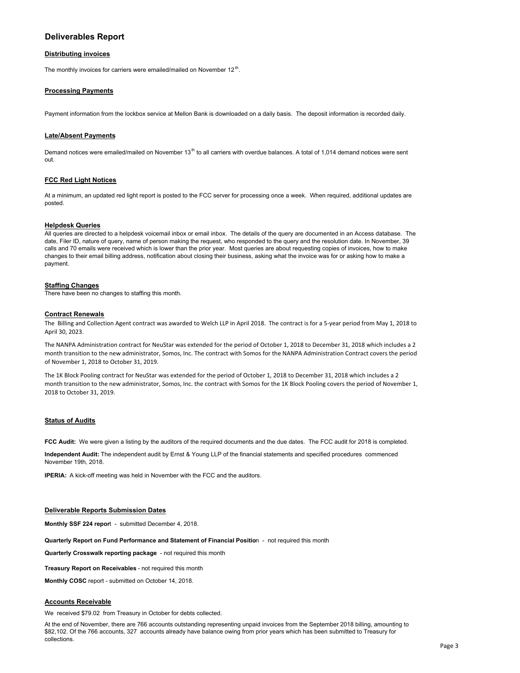## **Deliverables Report**

#### **Distributing invoices**

The monthly invoices for carriers were emailed/mailed on November  $12<sup>th</sup>$ .

#### **Processing Payments**

Payment information from the lockbox service at Mellon Bank is downloaded on a daily basis. The deposit information is recorded daily.

#### **Late/Absent Payments**

Demand notices were emailed/mailed on November  $13<sup>th</sup>$  to all carriers with overdue balances. A total of 1,014 demand notices were sent out.

#### **FCC Red Light Notices**

At a minimum, an updated red light report is posted to the FCC server for processing once a week. When required, additional updates are posted.

#### **Helpdesk Queries**

All queries are directed to a helpdesk voicemail inbox or email inbox. The details of the query are documented in an Access database. The date, Filer ID, nature of query, name of person making the request, who responded to the query and the resolution date. In November, 39 calls and 70 emails were received which is lower than the prior year. Most queries are about requesting copies of invoices, how to make changes to their email billing address, notification about closing their business, asking what the invoice was for or asking how to make a payment.

#### **Staffing Changes**

There have been no changes to staffing this month.

#### **Contract Renewals**

The Billing and Collection Agent contract was awarded to Welch LLP in April 2018. The contract is for a 5‐year period from May 1, 2018 to April 30, 2023.

The NANPA Administration contract for NeuStar was extended for the period of October 1, 2018 to December 31, 2018 which includes a 2 month transition to the new administrator, Somos, Inc. The contract with Somos for the NANPA Administration Contract covers the period of November 1, 2018 to October 31, 2019.

The 1K Block Pooling contract for NeuStar was extended for the period of October 1, 2018 to December 31, 2018 which includes a 2 month transition to the new administrator, Somos, Inc. the contract with Somos for the 1K Block Pooling covers the period of November 1, 2018 to October 31, 2019.

#### **Status of Audits**

**FCC Audit:** We were given a listing by the auditors of the required documents and the due dates. The FCC audit for 2018 is completed.

**Independent Audit:** The independent audit by Ernst & Young LLP of the financial statements and specified procedures commenced November 19th, 2018.

**IPERIA:** A kick-off meeting was held in November with the FCC and the auditors.

#### **Deliverable Reports Submission Dates**

**Monthly SSF 224 repor**t - submitted December 4, 2018.

**Quarterly Report on Fund Performance and Statement of Financial Positio**n - not required this month

**Quarterly Crosswalk reporting package** - not required this month

**Treasury Report on Receivables** - not required this month

**Monthly COSC** report - submitted on October 14, 2018.

#### **Accounts Receivable**

We received \$79.02 from Treasury in October for debts collected.

At the end of November, there are 766 accounts outstanding representing unpaid invoices from the September 2018 billing, amounting to \$82,102. Of the 766 accounts, 327 accounts already have balance owing from prior years which has been submitted to Treasury for collections.